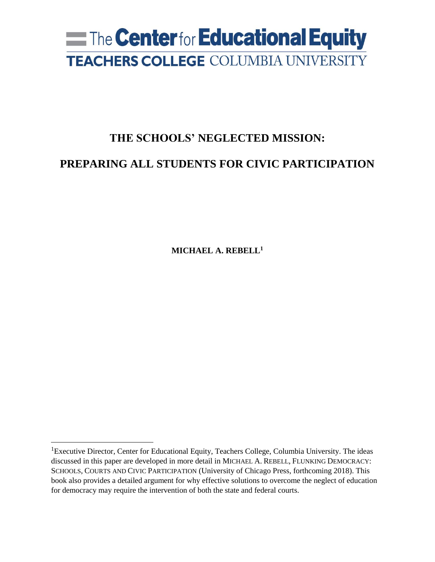# **Example 1 Center for Educational Equity TEACHERS COLLEGE COLUMBIA UNIVERSITY**

# **THE SCHOOLS' NEGLECTED MISSION:**

## **PREPARING ALL STUDENTS FOR CIVIC PARTICIPATION**

**MICHAEL A. REBELL<sup>1</sup>**

<sup>&</sup>lt;sup>1</sup>Executive Director, Center for Educational Equity, Teachers College, Columbia University. The ideas discussed in this paper are developed in more detail in MICHAEL A. REBELL, FLUNKING DEMOCRACY: SCHOOLS, COURTS AND CIVIC PARTICIPATION (University of Chicago Press, forthcoming 2018). This book also provides a detailed argument for why effective solutions to overcome the neglect of education for democracy may require the intervention of both the state and federal courts.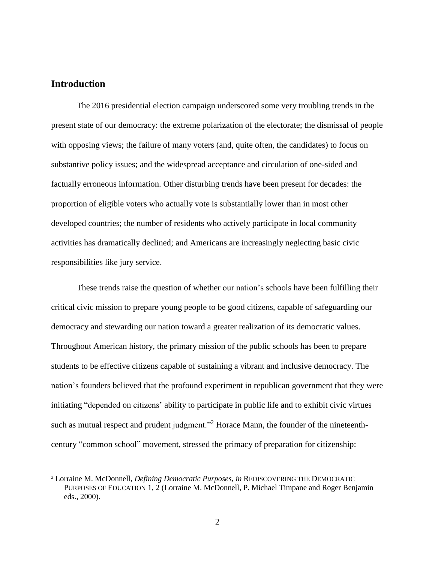#### **Introduction**

 $\overline{a}$ 

The 2016 presidential election campaign underscored some very troubling trends in the present state of our democracy: the extreme polarization of the electorate; the dismissal of people with opposing views; the failure of many voters (and, quite often, the candidates) to focus on substantive policy issues; and the widespread acceptance and circulation of one-sided and factually erroneous information. Other disturbing trends have been present for decades: the proportion of eligible voters who actually vote is substantially lower than in most other developed countries; the number of residents who actively participate in local community activities has dramatically declined; and Americans are increasingly neglecting basic civic responsibilities like jury service.

These trends raise the question of whether our nation's schools have been fulfilling their critical civic mission to prepare young people to be good citizens, capable of safeguarding our democracy and stewarding our nation toward a greater realization of its democratic values. Throughout American history, the primary mission of the public schools has been to prepare students to be effective citizens capable of sustaining a vibrant and inclusive democracy. The nation's founders believed that the profound experiment in republican government that they were initiating "depended on citizens' ability to participate in public life and to exhibit civic virtues such as mutual respect and prudent judgment."<sup>2</sup> Horace Mann, the founder of the nineteenthcentury "common school" movement, stressed the primacy of preparation for citizenship:

<sup>2</sup> Lorraine M. McDonnell, *Defining Democratic Purposes*, *in* REDISCOVERING THE DEMOCRATIC PURPOSES OF EDUCATION 1, 2 (Lorraine M. McDonnell, P. Michael Timpane and Roger Benjamin eds., 2000).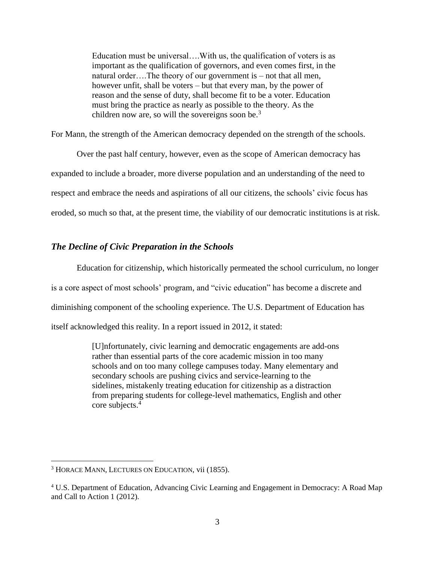Education must be universal….With us, the qualification of voters is as important as the qualification of governors, and even comes first, in the natural order….The theory of our government is – not that all men, however unfit, shall be voters – but that every man, by the power of reason and the sense of duty, shall become fit to be a voter. Education must bring the practice as nearly as possible to the theory. As the children now are, so will the sovereigns soon be.<sup>3</sup>

For Mann, the strength of the American democracy depended on the strength of the schools.

Over the past half century, however, even as the scope of American democracy has expanded to include a broader, more diverse population and an understanding of the need to respect and embrace the needs and aspirations of all our citizens, the schools' civic focus has eroded, so much so that, at the present time, the viability of our democratic institutions is at risk.

#### *The Decline of Civic Preparation in the Schools*

Education for citizenship, which historically permeated the school curriculum, no longer is a core aspect of most schools' program, and "civic education" has become a discrete and diminishing component of the schooling experience. The U.S. Department of Education has itself acknowledged this reality. In a report issued in 2012, it stated:

> [U]nfortunately, civic learning and democratic engagements are add-ons rather than essential parts of the core academic mission in too many schools and on too many college campuses today. Many elementary and secondary schools are pushing civics and service-learning to the sidelines, mistakenly treating education for citizenship as a distraction from preparing students for college-level mathematics, English and other core subjects.<sup>4</sup>

<sup>&</sup>lt;sup>3</sup> HORACE MANN, LECTURES ON EDUCATION, vii (1855).

<sup>4</sup> U.S. Department of Education, Advancing Civic Learning and Engagement in Democracy: A Road Map and Call to Action 1 (2012).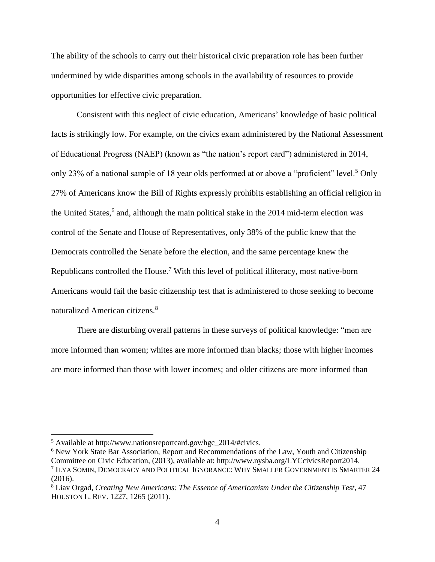The ability of the schools to carry out their historical civic preparation role has been further undermined by wide disparities among schools in the availability of resources to provide opportunities for effective civic preparation.

Consistent with this neglect of civic education, Americans' knowledge of basic political facts is strikingly low. For example, on the civics exam administered by the National Assessment of Educational Progress (NAEP) (known as "the nation's report card") administered in 2014, only 23% of a national sample of 18 year olds performed at or above a "proficient" level.<sup>5</sup> Only 27% of Americans know the Bill of Rights expressly prohibits establishing an official religion in the United States,<sup>6</sup> and, although the main political stake in the 2014 mid-term election was control of the Senate and House of Representatives, only 38% of the public knew that the Democrats controlled the Senate before the election, and the same percentage knew the Republicans controlled the House.<sup>7</sup> With this level of political illiteracy, most native-born Americans would fail the basic citizenship test that is administered to those seeking to become naturalized American citizens.<sup>8</sup>

There are disturbing overall patterns in these surveys of political knowledge: "men are more informed than women; whites are more informed than blacks; those with higher incomes are more informed than those with lower incomes; and older citizens are more informed than

<sup>5</sup> Available at [http://www.nationsreportcard.gov/hgc\\_2014/#civics.](http://www.nationsreportcard.gov/hgc_2014/#civics)

<sup>&</sup>lt;sup>6</sup> New York State Bar Association, Report and Recommendations of the Law, Youth and Citizenship Committee on Civic Education, (2013), available at: [http://www.nysba.org/LYCcivicsReport2014.](http://www.nysba.org/LYCcivicsReport2014) 7 ILYA SOMIN, DEMOCRACY AND POLITICAL IGNORANCE: WHY SMALLER GOVERNMENT IS SMARTER 24 (2016).

<sup>8</sup> Liav Orgad, *Creating New Americans: The Essence of Americanism Under the Citizenship Test*, 47 HOUSTON L. REV. 1227, 1265 (2011).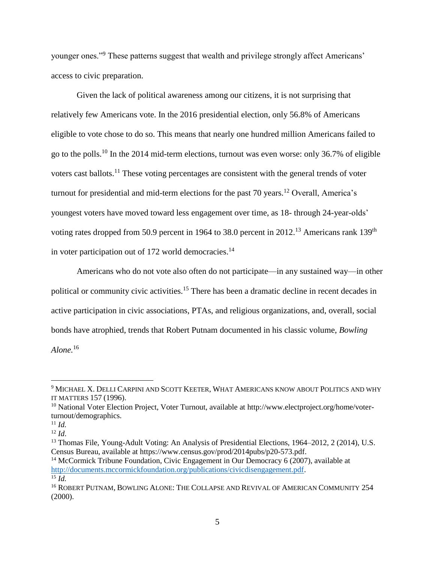younger ones."<sup>9</sup> These patterns suggest that wealth and privilege strongly affect Americans' access to civic preparation.

Given the lack of political awareness among our citizens, it is not surprising that relatively few Americans vote. In the 2016 presidential election, only 56.8% of Americans eligible to vote chose to do so. This means that nearly one hundred million Americans failed to go to the polls.<sup>10</sup> In the 2014 mid-term elections, turnout was even worse: only 36.7% of eligible voters cast ballots.<sup>11</sup> These voting percentages are consistent with the general trends of voter turnout for presidential and mid-term elections for the past  $70$  years.<sup>12</sup> Overall, America's youngest voters have moved toward less engagement over time, as 18- through 24-year-olds' voting rates dropped from 50.9 percent in 1964 to 38.0 percent in 2012.<sup>13</sup> Americans rank 139<sup>th</sup> in voter participation out of 172 world democracies.<sup>14</sup>

Americans who do not vote also often do not participate—in any sustained way—in other political or community civic activities.<sup>15</sup> There has been a dramatic decline in recent decades in active participation in civic associations, PTAs, and religious organizations, and, overall, social bonds have atrophied, trends that Robert Putnam documented in his classic volume, *Bowling Alone.*<sup>16</sup>

<sup>9</sup> MICHAEL X. DELLI CARPINI AND SCOTT KEETER, WHAT AMERICANS KNOW ABOUT POLITICS AND WHY IT MATTERS 157 (1996).

<sup>&</sup>lt;sup>10</sup> National Voter Election Project, Voter Turnout, available at [http://www.electproject.org/home/voter](http://www.electproject.org/home/voter-turnout/demographics)[turnout/demographics.](http://www.electproject.org/home/voter-turnout/demographics)

<sup>11</sup> *Id.*

 $12$  *Id.* 

<sup>&</sup>lt;sup>13</sup> Thomas File, Young-Adult Voting: An Analysis of Presidential Elections, 1964–2012, 2 (2014), U.S. Census Bureau, available at [https://www.census.gov/prod/2014pubs/p20-573.pdf.](https://www.census.gov/prod/2014pubs/p20-573.pdf)

<sup>&</sup>lt;sup>14</sup> McCormick Tribune Foundation, Civic Engagement in Our Democracy 6 (2007), available at [http://documents.mccormickfoundation.org/publications/civicdisengagement.pdf.](http://documents.mccormickfoundation.org/publications/civicdisengagement.pdf)  $^{15}$  *Id*.

<sup>16</sup> ROBERT PUTNAM, BOWLING ALONE: THE COLLAPSE AND REVIVAL OF AMERICAN COMMUNITY 254 (2000).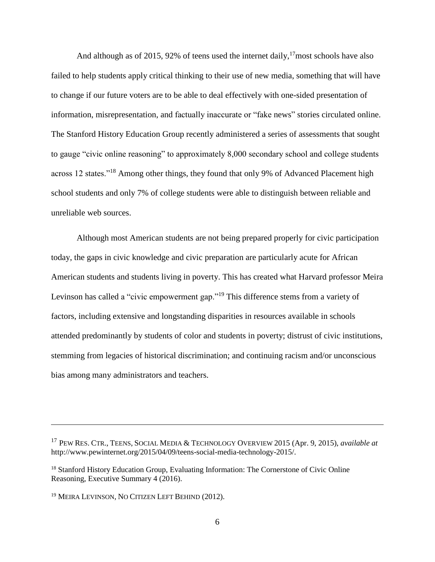And although as of 2015, 92% of teens used the internet daily,  $17$  most schools have also failed to help students apply critical thinking to their use of new media, something that will have to change if our future voters are to be able to deal effectively with one-sided presentation of information, misrepresentation, and factually inaccurate or "fake news" stories circulated online. The Stanford History Education Group recently administered a series of assessments that sought to gauge "civic online reasoning" to approximately 8,000 secondary school and college students across 12 states."<sup>18</sup> Among other things, they found that only 9% of Advanced Placement high school students and only 7% of college students were able to distinguish between reliable and unreliable web sources.

Although most American students are not being prepared properly for civic participation today, the gaps in civic knowledge and civic preparation are particularly acute for African American students and students living in poverty. This has created what Harvard professor Meira Levinson has called a "civic empowerment gap."<sup>19</sup> This difference stems from a variety of factors, including extensive and longstanding disparities in resources available in schools attended predominantly by students of color and students in poverty; distrust of civic institutions, stemming from legacies of historical discrimination; and continuing racism and/or unconscious bias among many administrators and teachers.

<sup>17</sup> PEW RES. CTR., TEENS, SOCIAL MEDIA & TECHNOLOGY OVERVIEW 2015 (Apr. 9, 2015), *available at* http://www.pewinternet.org/2015/04/09/teens-social-media-technology-2015/.

<sup>&</sup>lt;sup>18</sup> Stanford History Education Group, Evaluating Information: The Cornerstone of Civic Online Reasoning, Executive Summary 4 (2016).

<sup>19</sup> MEIRA LEVINSON, NO CITIZEN LEFT BEHIND (2012).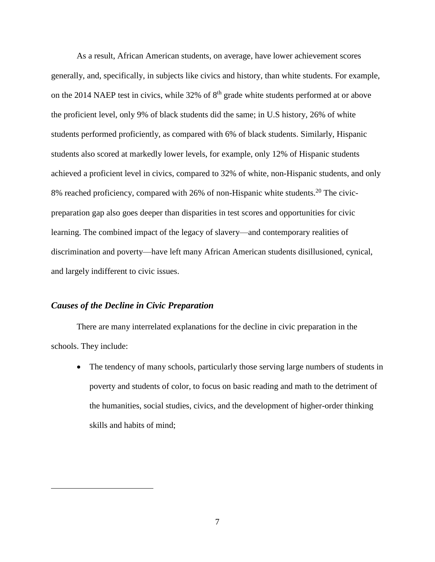As a result, African American students, on average, have lower achievement scores generally, and, specifically, in subjects like civics and history, than white students. For example, on the 2014 NAEP test in civics, while  $32\%$  of  $8<sup>th</sup>$  grade white students performed at or above the proficient level, only 9% of black students did the same; in U.S history, 26% of white students performed proficiently, as compared with 6% of black students. Similarly, Hispanic students also scored at markedly lower levels, for example, only 12% of Hispanic students achieved a proficient level in civics, compared to 32% of white, non-Hispanic students, and only 8% reached proficiency, compared with 26% of non-Hispanic white students.<sup>20</sup> The civicpreparation gap also goes deeper than disparities in test scores and opportunities for civic learning. The combined impact of the legacy of slavery—and contemporary realities of discrimination and poverty—have left many African American students disillusioned, cynical, and largely indifferent to civic issues.

#### *Causes of the Decline in Civic Preparation*

 $\overline{a}$ 

There are many interrelated explanations for the decline in civic preparation in the schools. They include:

• The tendency of many schools, particularly those serving large numbers of students in poverty and students of color, to focus on basic reading and math to the detriment of the humanities, social studies, civics, and the development of higher-order thinking skills and habits of mind;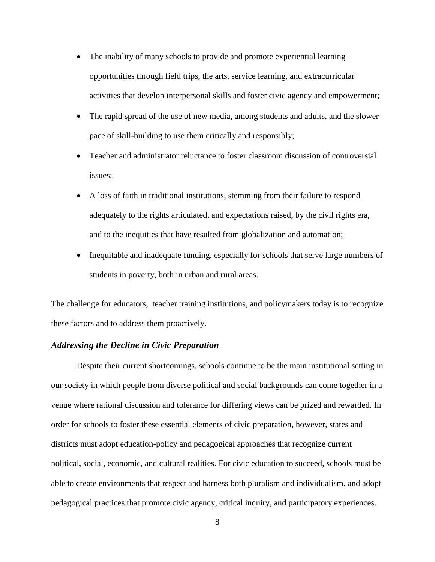- The inability of many schools to provide and promote experiential learning opportunities through field trips, the arts, service learning, and extracurricular activities that develop interpersonal skills and foster civic agency and empowerment;
- The rapid spread of the use of new media, among students and adults, and the slower pace of skill-building to use them critically and responsibly;
- Teacher and administrator reluctance to foster classroom discussion of controversial issues;
- A loss of faith in traditional institutions, stemming from their failure to respond adequately to the rights articulated, and expectations raised, by the civil rights era, and to the inequities that have resulted from globalization and automation;
- Inequitable and inadequate funding, especially for schools that serve large numbers of students in poverty, both in urban and rural areas.

The challenge for educators, teacher training institutions, and policymakers today is to recognize these factors and to address them proactively.

#### *Addressing the Decline in Civic Preparation*

Despite their current shortcomings, schools continue to be the main institutional setting in our society in which people from diverse political and social backgrounds can come together in a venue where rational discussion and tolerance for differing views can be prized and rewarded. In order for schools to foster these essential elements of civic preparation, however, states and districts must adopt education-policy and pedagogical approaches that recognize current political, social, economic, and cultural realities. For civic education to succeed, schools must be able to create environments that respect and harness both pluralism and individualism, and adopt pedagogical practices that promote civic agency, critical inquiry, and participatory experiences.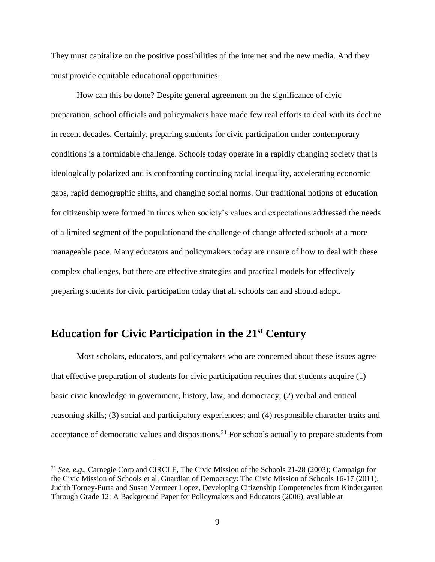They must capitalize on the positive possibilities of the internet and the new media. And they must provide equitable educational opportunities.

How can this be done? Despite general agreement on the significance of civic preparation, school officials and policymakers have made few real efforts to deal with its decline in recent decades. Certainly, preparing students for civic participation under contemporary conditions is a formidable challenge. Schools today operate in a rapidly changing society that is ideologically polarized and is confronting continuing racial inequality, accelerating economic gaps, rapid demographic shifts, and changing social norms. Our traditional notions of education for citizenship were formed in times when society's values and expectations addressed the needs of a limited segment of the populationand the challenge of change affected schools at a more manageable pace. Many educators and policymakers today are unsure of how to deal with these complex challenges, but there are effective strategies and practical models for effectively preparing students for civic participation today that all schools can and should adopt.

## **Education for Civic Participation in the 21st Century**

 $\overline{a}$ 

Most scholars, educators, and policymakers who are concerned about these issues agree that effective preparation of students for civic participation requires that students acquire (1) basic civic knowledge in government, history, law, and democracy; (2) verbal and critical reasoning skills; (3) social and participatory experiences; and (4) responsible character traits and acceptance of democratic values and dispositions.<sup>21</sup> For schools actually to prepare students from

<sup>21</sup> *See, e.g*., Carnegie Corp and CIRCLE, The Civic Mission of the Schools 21-28 (2003); Campaign for the Civic Mission of Schools et al, Guardian of Democracy: The Civic Mission of Schools 16-17 (2011), Judith Torney-Purta and Susan Vermeer Lopez, Developing Citizenship Competencies from Kindergarten Through Grade 12: A Background Paper for Policymakers and Educators (2006), available at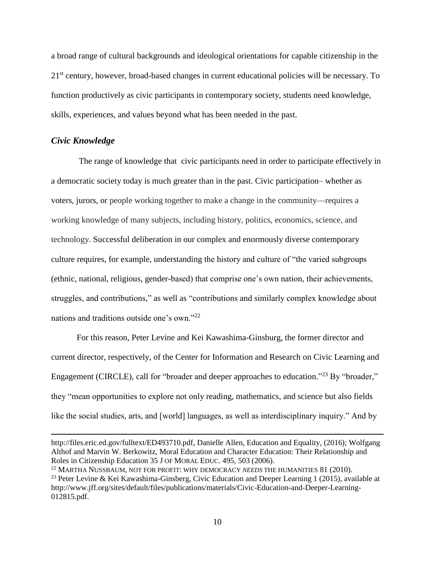a broad range of cultural backgrounds and ideological orientations for capable citizenship in the 21<sup>st</sup> century, however, broad-based changes in current educational policies will be necessary. To function productively as civic participants in contemporary society, students need knowledge, skills, experiences, and values beyond what has been needed in the past.

#### *Civic Knowledge*

 $\overline{a}$ 

The range of knowledge that civic participants need in order to participate effectively in a democratic society today is much greater than in the past. Civic participation– whether as voters, jurors, or people working together to make a change in the community—requires a working knowledge of many subjects, including history, politics, economics, science, and technology. Successful deliberation in our complex and enormously diverse contemporary culture requires, for example, understanding the history and culture of "the varied subgroups (ethnic, national, religious, gender-based) that comprise one's own nation, their achievements, struggles, and contributions," as well as "contributions and similarly complex knowledge about nations and traditions outside one's own."<sup>22</sup>

For this reason, Peter Levine and Kei Kawashima-Ginsburg, the former director and current director, respectively, of the Center for Information and Research on Civic Learning and Engagement (CIRCLE), call for "broader and deeper approaches to education."<sup>23</sup> By "broader," they "mean opportunities to explore not only reading, mathematics, and science but also fields like the social studies, arts, and [world] languages, as well as interdisciplinary inquiry." And by

[http://files.eric.ed.gov/fulltext/ED493710.pdf,](http://files.eric.ed.gov/fulltext/ED493710.pdf) Danielle Allen, Education and Equality, (2016); Wolfgang Althof and Marvin W. Berkowitz, Moral Education and Character Education: Their Relationship and Roles in Citizenship Education 35 J OF MORAL EDUC. 495, 503 (2006).

<sup>22</sup> MARTHA NUSSBAUM, NOT FOR PROFIT: WHY DEMOCRACY *NEEDS* THE HUMANITIES 81 (2010).

<sup>&</sup>lt;sup>23</sup> Peter Levine & Kei Kawashima-Ginsberg, Civic Education and Deeper Learning 1 (2015), available at [http://www.jff.org/sites/default/files/publications/materials/Civic-Education-and-Deeper-Learning-](http://www.jff.org/sites/default/files/publications/materials/Civic-Education-and-Deeper-Learning-012815.pdf)[012815.pdf.](http://www.jff.org/sites/default/files/publications/materials/Civic-Education-and-Deeper-Learning-012815.pdf)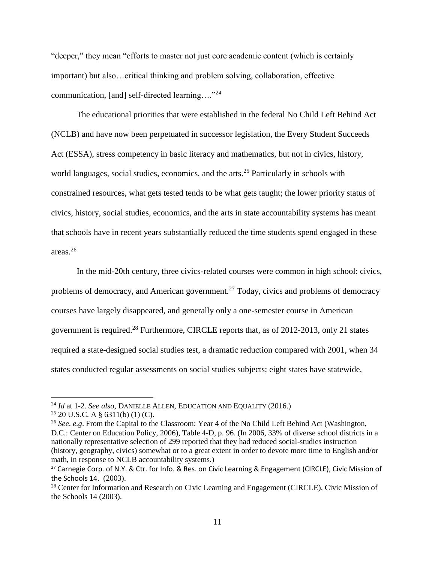"deeper," they mean "efforts to master not just core academic content (which is certainly important) but also…critical thinking and problem solving, collaboration, effective communication, [and] self-directed learning...."<sup>24</sup>

The educational priorities that were established in the federal No Child Left Behind Act (NCLB) and have now been perpetuated in successor legislation, the Every Student Succeeds Act (ESSA), stress competency in basic literacy and mathematics*,* but not in civics, history, world languages, social studies, economics, and the arts.<sup>25</sup> Particularly in schools with constrained resources, what gets tested tends to be what gets taught; the lower priority status of civics, history, social studies, economics, and the arts in state accountability systems has meant that schools have in recent years substantially reduced the time students spend engaged in these areas.<sup>26</sup>

In the mid-20th century, three civics-related courses were common in high school: civics, problems of democracy, and American government.<sup>27</sup> Today, civics and problems of democracy courses have largely disappeared, and generally only a one-semester course in American government is required.<sup>28</sup> Furthermore, CIRCLE reports that, as of 2012-2013, only 21 states required a state-designed social studies test, a dramatic reduction compared with 2001, when 34 states conducted regular assessments on social studies subjects; eight states have statewide,

<sup>24</sup> *Id* at 1-2. *See also*, DANIELLE ALLEN, EDUCATION AND EQUALITY (2016.)

 $25$  20 U.S.C. A § 6311(b) (1) (C).

<sup>26</sup> *See, e.g*. From the Capital to the Classroom: Year 4 of the No Child Left Behind Act (Washington, D.C.: Center on Education Policy, 2006), Table 4-D, p. 96. (In 2006, 33% of diverse school districts in a nationally representative selection of 299 reported that they had reduced social-studies instruction (history, geography, civics) somewhat or to a great extent in order to devote more time to English and/or math, in response to NCLB accountability systems.)

<sup>&</sup>lt;sup>27</sup> Carnegie Corp. of N.Y. & Ctr. for Info. & Res. on Civic Learning & Engagement (CIRCLE), Civic Mission of the Schools 14. (2003).

<sup>&</sup>lt;sup>28</sup> Center for Information and Research on Civic Learning and Engagement (CIRCLE), Civic Mission of the Schools 14 (2003).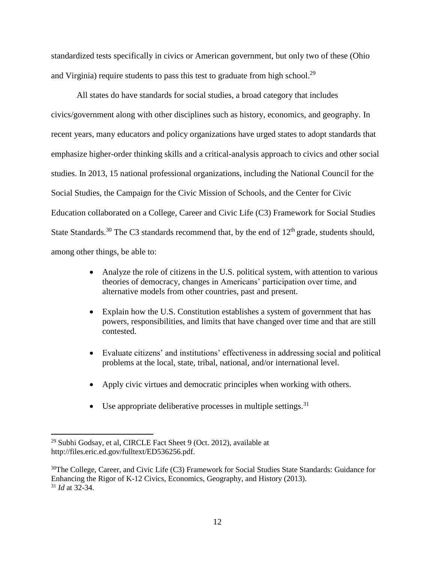standardized tests specifically in civics or American government, but only two of these (Ohio and Virginia) require students to pass this test to graduate from high school.<sup>29</sup>

All states do have standards for social studies, a broad category that includes civics/government along with other disciplines such as history, economics, and geography. In recent years, many educators and policy organizations have urged states to adopt standards that emphasize higher-order thinking skills and a critical-analysis approach to civics and other social studies. In 2013, 15 national professional organizations, including the National Council for the Social Studies, the Campaign for the Civic Mission of Schools, and the Center for Civic Education collaborated on a College, Career and Civic Life (C3) Framework for Social Studies State Standards.<sup>30</sup> The C3 standards recommend that, by the end of  $12<sup>th</sup>$  grade, students should, among other things, be able to:

- Analyze the role of citizens in the U.S. political system, with attention to various theories of democracy, changes in Americans' participation over time, and alternative models from other countries, past and present.
- Explain how the U.S. Constitution establishes a system of government that has powers, responsibilities, and limits that have changed over time and that are still contested.
- Evaluate citizens' and institutions' effectiveness in addressing social and political problems at the local, state, tribal, national, and/or international level.
- Apply civic virtues and democratic principles when working with others.
- $\bullet$  Use appropriate deliberative processes in multiple settings.<sup>31</sup>

<sup>29</sup> Subhi Godsay, et al, CIRCLE Fact Sheet 9 (Oct. 2012), available at http://files.eric.ed.gov/fulltext/ED536256.pdf.

<sup>&</sup>lt;sup>30</sup>The College, Career, and Civic Life (C3) Framework for Social Studies State Standards: Guidance for Enhancing the Rigor of K-12 Civics, Economics, Geography, and History (2013). <sup>31</sup> *Id* at 32-34.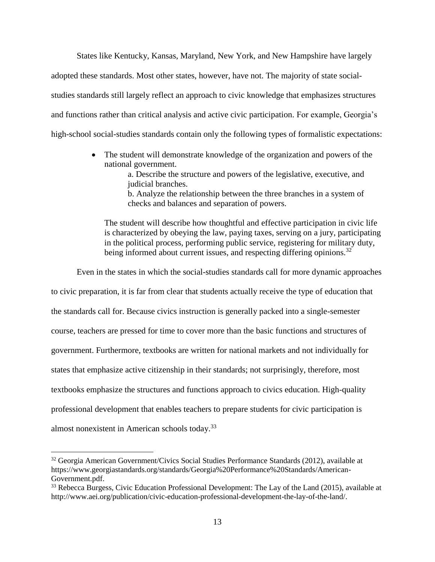States like Kentucky, Kansas, Maryland, New York, and New Hampshire have largely adopted these standards. Most other states, however, have not. The majority of state socialstudies standards still largely reflect an approach to civic knowledge that emphasizes structures and functions rather than critical analysis and active civic participation. For example, Georgia's high-school social-studies standards contain only the following types of formalistic expectations:

> • The student will demonstrate knowledge of the organization and powers of the national government.

> > a. Describe the structure and powers of the legislative, executive, and judicial branches.

> > b. Analyze the relationship between the three branches in a system of checks and balances and separation of powers.

The student will describe how thoughtful and effective participation in civic life is characterized by obeying the law, paying taxes, serving on a jury, participating in the political process, performing public service, registering for military duty, being informed about current issues, and respecting differing opinions.<sup>32</sup>

Even in the states in which the social-studies standards call for more dynamic approaches

to civic preparation, it is far from clear that students actually receive the type of education that the standards call for. Because civics instruction is generally packed into a single-semester course, teachers are pressed for time to cover more than the basic functions and structures of government. Furthermore, textbooks are written for national markets and not individually for states that emphasize active citizenship in their standards; not surprisingly, therefore, most textbooks emphasize the structures and functions approach to civics education. High-quality professional development that enables teachers to prepare students for civic participation is almost nonexistent in American schools today.<sup>33</sup>

<sup>32</sup> Georgia American Government/Civics Social Studies Performance Standards (2012), available at [https://www.georgiastandards.org/standards/Georgia%20Performance%20Standards/American-](https://www.georgiastandards.org/standards/Georgia%20Performance%20Standards/American-Government.pdf)[Government.pdf.](https://www.georgiastandards.org/standards/Georgia%20Performance%20Standards/American-Government.pdf)

<sup>&</sup>lt;sup>33</sup> Rebecca Burgess, Civic Education Professional Development: The Lay of the Land (2015), available at http://www.aei.org/publication/civic-education-professional-development-the-lay-of-the-land/.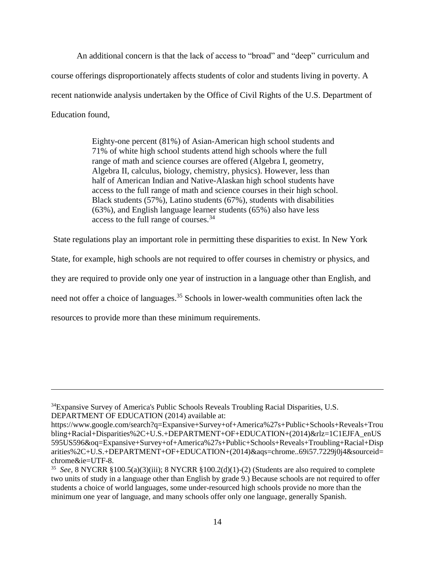An additional concern is that the lack of access to "broad" and "deep" curriculum and course offerings disproportionately affects students of color and students living in poverty. A recent nationwide analysis undertaken by the Office of Civil Rights of the U.S. Department of Education found,

> Eighty-one percent (81%) of Asian-American high school students and 71% of white high school students attend high schools where the full range of math and science courses are offered (Algebra I, geometry, Algebra II, calculus, biology, chemistry, physics). However, less than half of American Indian and Native-Alaskan high school students have access to the full range of math and science courses in their high school. Black students (57%), Latino students (67%), students with disabilities (63%), and English language learner students (65%) also have less access to the full range of courses.<sup>34</sup>

State regulations play an important role in permitting these disparities to exist. In New York

State, for example, high schools are not required to offer courses in chemistry or physics, and

they are required to provide only one year of instruction in a language other than English, and

need not offer a choice of languages.<sup>35</sup> Schools in lower-wealth communities often lack the

resources to provide more than these minimum requirements.

<sup>34</sup>Expansive Survey of America's Public Schools Reveals Troubling Racial Disparities, U.S. DEPARTMENT OF EDUCATION (2014) available at:

[https://www.google.com/search?q=Expansive+Survey+of+America%27s+Public+Schools+Reveals+Trou](https://www.google.com/search?q=Expansive+Survey+of+America%27s+Public+Schools+Reveals+Troubling+Racial+Disparities%2C+U.S.+DEPARTMENT+OF+EDUCATION+(2014)&rlz=1C1EJFA_enUS595US596&oq=Expansive+Survey+of+America%27s+Public+Schools+Reveals+Troubling+Racial+Disparities%2C+U.S.+DEPARTMENT+OF+EDUCATION+(2014)&aqs=chrome..69i57.7229j0j4&sourceid=chrome&ie=UTF-8) [bling+Racial+Disparities%2C+U.S.+DEPARTMENT+OF+EDUCATION+\(2014\)&rlz=1C1EJFA\\_enUS](https://www.google.com/search?q=Expansive+Survey+of+America%27s+Public+Schools+Reveals+Troubling+Racial+Disparities%2C+U.S.+DEPARTMENT+OF+EDUCATION+(2014)&rlz=1C1EJFA_enUS595US596&oq=Expansive+Survey+of+America%27s+Public+Schools+Reveals+Troubling+Racial+Disparities%2C+U.S.+DEPARTMENT+OF+EDUCATION+(2014)&aqs=chrome..69i57.7229j0j4&sourceid=chrome&ie=UTF-8) [595US596&oq=Expansive+Survey+of+America%27s+Public+Schools+Reveals+Troubling+Racial+Disp](https://www.google.com/search?q=Expansive+Survey+of+America%27s+Public+Schools+Reveals+Troubling+Racial+Disparities%2C+U.S.+DEPARTMENT+OF+EDUCATION+(2014)&rlz=1C1EJFA_enUS595US596&oq=Expansive+Survey+of+America%27s+Public+Schools+Reveals+Troubling+Racial+Disparities%2C+U.S.+DEPARTMENT+OF+EDUCATION+(2014)&aqs=chrome..69i57.7229j0j4&sourceid=chrome&ie=UTF-8) [arities%2C+U.S.+DEPARTMENT+OF+EDUCATION+\(2014\)&aqs=chrome..69i57.7229j0j4&sourceid=](https://www.google.com/search?q=Expansive+Survey+of+America%27s+Public+Schools+Reveals+Troubling+Racial+Disparities%2C+U.S.+DEPARTMENT+OF+EDUCATION+(2014)&rlz=1C1EJFA_enUS595US596&oq=Expansive+Survey+of+America%27s+Public+Schools+Reveals+Troubling+Racial+Disparities%2C+U.S.+DEPARTMENT+OF+EDUCATION+(2014)&aqs=chrome..69i57.7229j0j4&sourceid=chrome&ie=UTF-8) [chrome&ie=UTF-8.](https://www.google.com/search?q=Expansive+Survey+of+America%27s+Public+Schools+Reveals+Troubling+Racial+Disparities%2C+U.S.+DEPARTMENT+OF+EDUCATION+(2014)&rlz=1C1EJFA_enUS595US596&oq=Expansive+Survey+of+America%27s+Public+Schools+Reveals+Troubling+Racial+Disparities%2C+U.S.+DEPARTMENT+OF+EDUCATION+(2014)&aqs=chrome..69i57.7229j0j4&sourceid=chrome&ie=UTF-8)

<sup>35</sup> *See*, 8 NYCRR §100.5(a)(3)(iii); 8 NYCRR §100.2(d)(1)-(2) (Students are also required to complete two units of study in a language other than English by grade 9.) Because schools are not required to offer students a choice of world languages, some under-resourced high schools provide no more than the minimum one year of language, and many schools offer only one language, generally Spanish.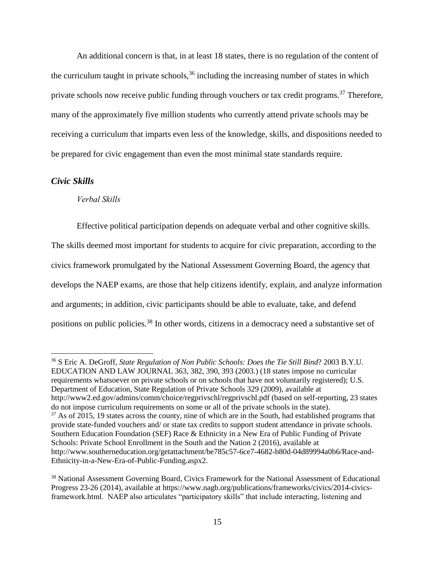An additional concern is that, in at least 18 states, there is no regulation of the content of the curriculum taught in private schools,  $36$  including the increasing number of states in which private schools now receive public funding through vouchers or tax credit programs.<sup>37</sup> Therefore, many of the approximately five million students who currently attend private schools may be receiving a curriculum that imparts even less of the knowledge, skills, and dispositions needed to be prepared for civic engagement than even the most minimal state standards require.

#### *Civic Skills*

 $\overline{a}$ 

#### *Verbal Skills*

Effective political participation depends on adequate verbal and other cognitive skills.

The skills deemed most important for students to acquire for civic preparation, according to the civics framework promulgated by the National Assessment Governing Board, the agency that develops the NAEP exams, are those that help citizens identify, explain, and analyze information and arguments; in addition, civic participants should be able to evaluate, take, and defend positions on public policies.<sup>38</sup> In other words, citizens in a democracy need a substantive set of

<sup>36</sup> S Eric A. DeGroff, *State Regulation of Non Public Schools: Does the Tie Still Bind*? 2003 B.Y.U. EDUCATION AND LAW JOURNAL 363, 382, 390, 393 (2003.) (18 states impose no curricular requirements whatsoever on private schools or on schools that have not voluntarily registered); U.S. Department of Education, State Regulation of Private Schools 329 (2009), available at http://www2.ed.gov/admins/comm/choice/regprivschl/regprivschl.pdf (based on self-reporting, 23 states do not impose curriculum requirements on some or all of the private schools in the state). <sup>37</sup> As of 2015, 19 states across the county, nine of which are in the South, had established programs that provide state-funded vouchers and/ or state tax credits to support student attendance in private schools. Southern Education Foundation (SEF) [Race & Ethnicity in a New Era of Public Funding of Private](http://r20.rs6.net/tn.jsp?f=001Os2I6zQPRLzSVDAdTpUToFb5fHtY766YwNjSjb5RU0DlQ_4E39yMAQicUe4ZQ0pfofHpUy141qGnK4zYmuz-kOzHkgm016hu1UA1CSkvi5rNjW4YwjzJarDT63csl9VUb2CpCrLGWo2pH7LbmOhmbvNsaLVdazf1kiAWeWINiq7_BfnCAY7U2ei9daZYyEasy4KQYAG98_s51DErhokclRVAUvA-ZcvMTeUfaCIyeaQ=&c=pHobnpGGNukhzGFnIqg6o3fA2VPVtHbGI3LVkLUyFxeqNtKZFreA9Q==&ch=IpytmsFIn-oJW_Ea3r4BxpMDCwvGYqQJfACRzPkapTdan-t5EWen3g==)  [Schools: Private School Enrollment in the South and the Nation](http://r20.rs6.net/tn.jsp?f=001Os2I6zQPRLzSVDAdTpUToFb5fHtY766YwNjSjb5RU0DlQ_4E39yMAQicUe4ZQ0pfofHpUy141qGnK4zYmuz-kOzHkgm016hu1UA1CSkvi5rNjW4YwjzJarDT63csl9VUb2CpCrLGWo2pH7LbmOhmbvNsaLVdazf1kiAWeWINiq7_BfnCAY7U2ei9daZYyEasy4KQYAG98_s51DErhokclRVAUvA-ZcvMTeUfaCIyeaQ=&c=pHobnpGGNukhzGFnIqg6o3fA2VPVtHbGI3LVkLUyFxeqNtKZFreA9Q==&ch=IpytmsFIn-oJW_Ea3r4BxpMDCwvGYqQJfACRzPkapTdan-t5EWen3g==) 2 (2016), available at [http://www.southerneducation.org/getattachment/be785c57-6ce7-4682-b80d-04d89994a0b6/Race-and-](http://www.southerneducation.org/getattachment/be785c57-6ce7-4682-b80d-04d89994a0b6/Race-and-Ethnicity-in-a-New-Era-of-Public-Funding.aspx)[Ethnicity-in-a-New-Era-of-Public-Funding.aspx2](http://www.southerneducation.org/getattachment/be785c57-6ce7-4682-b80d-04d89994a0b6/Race-and-Ethnicity-in-a-New-Era-of-Public-Funding.aspx).

<sup>&</sup>lt;sup>38</sup> National Assessment Governing Board, Civics Framework for the National Assessment of Educational Progress 23-26 (2014), available at https://www.nagb.org/publications/frameworks/civics/2014-civicsframework.html. NAEP also articulates "participatory skills" that include interacting, listening and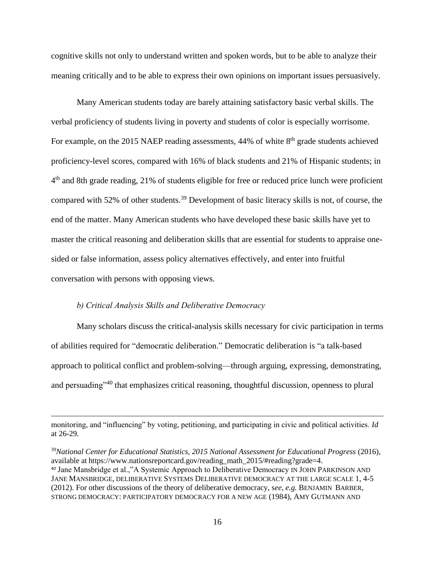cognitive skills not only to understand written and spoken words, but to be able to analyze their meaning critically and to be able to express their own opinions on important issues persuasively.

Many American students today are barely attaining satisfactory basic verbal skills. The verbal proficiency of students living in poverty and students of color is especially worrisome. For example, on the 2015 NAEP reading assessments,  $44\%$  of white  $8<sup>th</sup>$  grade students achieved proficiency-level scores, compared with 16% of black students and 21% of Hispanic students; in 4<sup>th</sup> and 8th grade reading, 21% of students eligible for free or reduced price lunch were proficient compared with 52% of other students. <sup>39</sup> Development of basic literacy skills is not, of course, the end of the matter. Many American students who have developed these basic skills have yet to master the critical reasoning and deliberation skills that are essential for students to appraise onesided or false information, assess policy alternatives effectively, and enter into fruitful conversation with persons with opposing views.

#### *b) Critical Analysis Skills and Deliberative Democracy*

 $\overline{a}$ 

Many scholars discuss the critical-analysis skills necessary for civic participation in terms of abilities required for "democratic deliberation." Democratic deliberation is "a talk-based approach to political conflict and problem-solving—through arguing, expressing, demonstrating, and persuading"<sup>40</sup> that emphasizes critical reasoning, thoughtful discussion, openness to plural

monitoring, and "influencing" by voting, petitioning, and participating in civic and political activities. *Id* at 26-29.

<sup>39</sup>*National Center for Educational Statistics, 2015 National Assessment for Educational Progress* (2016), available at [https://www.nationsreportcard.gov/reading\\_math\\_2015/#reading?grade=4.](https://www.nationsreportcard.gov/reading_math_2015/#reading?grade=4) <sup>40</sup> Jane Mansbridge et al.,"A Systemic Approach to Deliberative Democracy IN JOHN PARKINSON AND JANE MANSBRIDGE, DELIBERATIVE SYSTEMS DELIBERATIVE DEMOCRACY AT THE LARGE SCALE 1, 4-5 (2012). For other discussions of the theory of deliberative democracy, s*ee*, *e.g.* BENJAMIN BARBER, STRONG DEMOCRACY: PARTICIPATORY DEMOCRACY FOR A NEW AGE (1984), AMY GUTMANN AND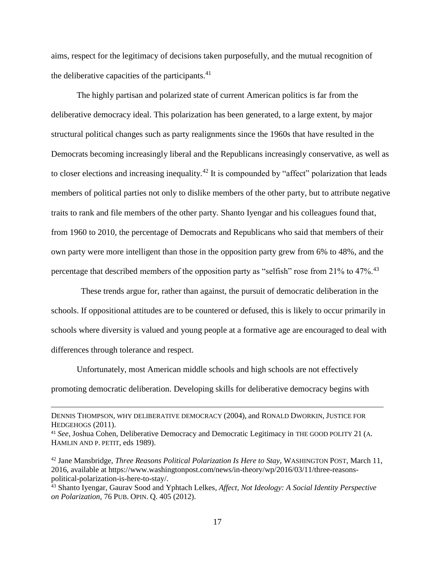aims, respect for the legitimacy of decisions taken purposefully, and the mutual recognition of the deliberative capacities of the participants. $41$ 

The highly partisan and polarized state of current American politics is far from the deliberative democracy ideal. This polarization has been generated, to a large extent, by major structural political changes such as party realignments since the 1960s that have resulted in the Democrats becoming increasingly liberal and the Republicans increasingly conservative, as well as to closer elections and increasing inequality.<sup>42</sup> It is compounded by "affect" polarization that leads members of political parties not only to dislike members of the other party, but to attribute negative traits to rank and file members of the other party. Shanto Iyengar and his colleagues found that, from 1960 to 2010, the percentage of Democrats and Republicans who said that members of their own party were more intelligent than those in the opposition party grew from 6% to 48%, and the percentage that described members of the opposition party as "selfish" rose from 21% to 47%.<sup>43</sup>

 These trends argue for, rather than against, the pursuit of democratic deliberation in the schools. If oppositional attitudes are to be countered or defused, this is likely to occur primarily in schools where diversity is valued and young people at a formative age are encouraged to deal with differences through tolerance and respect.

Unfortunately, most American middle schools and high schools are not effectively promoting democratic deliberation. Developing skills for deliberative democracy begins with

DENNIS THOMPSON, WHY DELIBERATIVE DEMOCRACY (2004), and RONALD DWORKIN, JUSTICE FOR HEDGEHOGS (2011).

<sup>41</sup> *See*, Joshua Cohen, Deliberative Democracy and Democratic Legitimacy in THE GOOD POLITY 21 (A. HAMLIN AND P. PETIT, eds 1989).

<sup>42</sup> Jane Mansbridge, *Three Reasons Political Polarization Is Here to Stay*, WASHINGTON POST, March 11, 2016, available at [https://www.washingtonpost.com/news/in-theory/wp/2016/03/11/three-reasons](https://www.washingtonpost.com/news/in-theory/wp/2016/03/11/three-reasons-political-polarization-is-here-to-stay/)[political-polarization-is-here-to-stay/.](https://www.washingtonpost.com/news/in-theory/wp/2016/03/11/three-reasons-political-polarization-is-here-to-stay/)

<sup>43</sup> Shanto Iyengar, Gaurav Sood and Yphtach Lelkes*, Affect, Not Ideology: A Social Identity Perspective on Polarization,* 76 PUB. OPIN. Q. 405 (2012).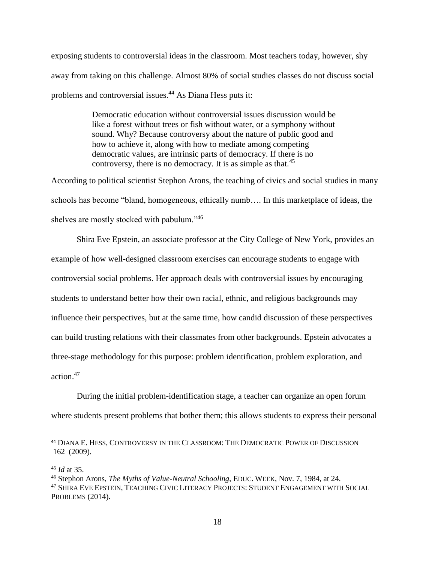exposing students to controversial ideas in the classroom. Most teachers today, however, shy away from taking on this challenge. Almost 80% of social studies classes do not discuss social problems and controversial issues.<sup>44</sup> As Diana Hess puts it:

> Democratic education without controversial issues discussion would be like a forest without trees or fish without water, or a symphony without sound. Why? Because controversy about the nature of public good and how to achieve it, along with how to mediate among competing democratic values, are intrinsic parts of democracy. If there is no controversy, there is no democracy. It is as simple as that.<sup>45</sup>

According to political scientist Stephon Arons, the teaching of civics and social studies in many schools has become "bland, homogeneous, ethically numb…. In this marketplace of ideas, the shelves are mostly stocked with pabulum."<sup>46</sup>

Shira Eve Epstein, an associate professor at the City College of New York, provides an example of how well-designed classroom exercises can encourage students to engage with controversial social problems. Her approach deals with controversial issues by encouraging students to understand better how their own racial, ethnic, and religious backgrounds may influence their perspectives, but at the same time, how candid discussion of these perspectives can build trusting relations with their classmates from other backgrounds. Epstein advocates a three-stage methodology for this purpose: problem identification, problem exploration, and action.<sup>47</sup>

During the initial problem-identification stage, a teacher can organize an open forum where students present problems that bother them; this allows students to express their personal

<sup>44</sup> DIANA E. HESS, CONTROVERSY IN THE CLASSROOM: THE DEMOCRATIC POWER OF DISCUSSION [162 \(2009\).](https://www.amazon.com/Controversy-Classroom-Democratic-Discussion-Critical/dp/0415962293/ref=sr_1_3?s=books&ie=UTF8&qid=1469030544&sr=1-3&keywords=Diana++E.+Hess)

<sup>45</sup> *Id* at 35.

<sup>46</sup> Stephon Arons, *The Myths of Value-Neutral Schooling*, EDUC. WEEK, Nov. 7, 1984, at 24.

<sup>47</sup> SHIRA EVE EPSTEIN, TEACHING CIVIC LITERACY PROJECTS: STUDENT ENGAGEMENT WITH SOCIAL PROBLEMS (2014).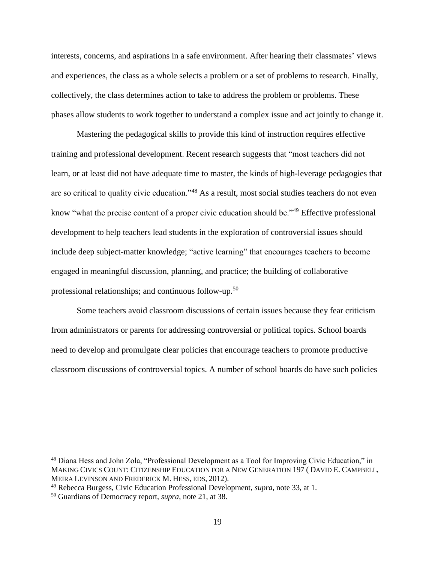interests, concerns, and aspirations in a safe environment. After hearing their classmates' views and experiences, the class as a whole selects a problem or a set of problems to research. Finally, collectively, the class determines action to take to address the problem or problems. These phases allow students to work together to understand a complex issue and act jointly to change it.

Mastering the pedagogical skills to provide this kind of instruction requires effective training and professional development. Recent research suggests that "most teachers did not learn, or at least did not have adequate time to master, the kinds of high-leverage pedagogies that are so critical to quality civic education."<sup>48</sup> As a result, most social studies teachers do not even know "what the precise content of a proper civic education should be."<sup>49</sup> Effective professional development to help teachers lead students in the exploration of controversial issues should include deep subject-matter knowledge; "active learning" that encourages teachers to become engaged in meaningful discussion, planning, and practice; the building of collaborative professional relationships; and continuous follow-up.<sup>50</sup>

Some teachers avoid classroom discussions of certain issues because they fear criticism from administrators or parents for addressing controversial or political topics. School boards need to develop and promulgate clear policies that encourage teachers to promote productive classroom discussions of controversial topics. A number of school boards do have such policies

<sup>48</sup> Diana Hess and John Zola, "Professional Development as a Tool for Improving Civic Education," in MAKING CIVICS COUNT: CITIZENSHIP EDUCATION FOR A NEW GENERATION 197 ( DAVID E. CAMPBELL, MEIRA LEVINSON AND FREDERICK M. HESS, EDS, 2012).

<sup>49</sup> Rebecca Burgess, Civic Education Professional Development, *supra*, note 33, at 1.

<sup>50</sup> Guardians of Democracy report, *supra*, note 21, at 38.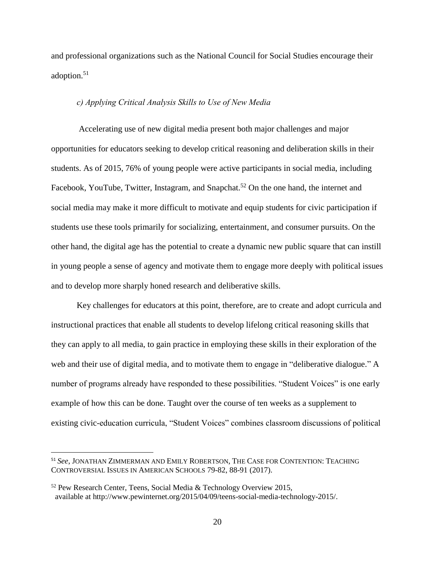and professional organizations such as the National Council for Social Studies encourage their adoption.<sup>51</sup>

#### *c) Applying Critical Analysis Skills to Use of New Media*

Accelerating use of new digital media present both major challenges and major opportunities for educators seeking to develop critical reasoning and deliberation skills in their students. As of 2015, 76% of young people were active participants in social media, including Facebook, YouTube, Twitter, Instagram, and Snapchat.<sup>52</sup> On the one hand, the internet and social media may make it more difficult to motivate and equip students for civic participation if students use these tools primarily for socializing, entertainment, and consumer pursuits. On the other hand, the digital age has the potential to create a dynamic new public square that can instill in young people a sense of agency and motivate them to engage more deeply with political issues and to develop more sharply honed research and deliberative skills.

Key challenges for educators at this point, therefore, are to create and adopt curricula and instructional practices that enable all students to develop lifelong critical reasoning skills that they can apply to all media, to gain practice in employing these skills in their exploration of the web and their use of digital media, and to motivate them to engage in "deliberative dialogue." A number of programs already have responded to these possibilities. "Student Voices" is one early example of how this can be done. Taught over the course of ten weeks as a supplement to existing civic-education curricula, "Student Voices" combines classroom discussions of political

<sup>51</sup> *See*, JONATHAN ZIMMERMAN AND EMILY ROBERTSON, THE CASE FOR CONTENTION: TEACHING CONTROVERSIAL ISSUES IN AMERICAN SCHOOLS 79-82, 88-91 (2017).

<sup>52</sup> Pew Research Center, Teens, Social Media & Technology Overview 2015, available at [http://www.pewinternet.org/2015/04/09/teens-social-media-technology-2015/.](http://www.pewinternet.org/2015/04/09/teens-social-media-technology-2015/)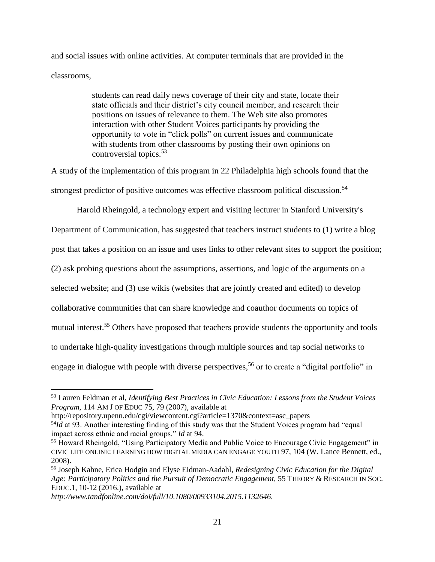and social issues with online activities. At computer terminals that are provided in the classrooms,

> students can read daily news coverage of their city and state, locate their state officials and their district's city council member, and research their positions on issues of relevance to them. The Web site also promotes interaction with other Student Voices participants by providing the opportunity to vote in "click polls" on current issues and communicate with students from other classrooms by posting their own opinions on controversial topics.<sup>53</sup>

A study of the implementation of this program in 22 Philadelphia high schools found that the strongest predictor of positive outcomes was effective classroom political discussion. 54

Harold Rheingold, a technology expert and visiting lecturer in Stanford University's

Department of Communication, has suggested that teachers instruct students to (1) write a blog

post that takes a position on an issue and uses links to other relevant sites to support the position;

(2) ask probing questions about the assumptions, assertions, and logic of the arguments on a

selected website; and (3) use wikis (websites that are jointly created and edited) to develop

collaborative communities that can share knowledge and coauthor documents on topics of

mutual interest.<sup>55</sup> Others have proposed that teachers provide students the opportunity and tools

to undertake high-quality investigations through multiple sources and tap social networks to

engage in dialogue with people with diverse perspectives,<sup>56</sup> or to create a "digital portfolio" in

[http://repository.upenn.edu/cgi/viewcontent.cgi?article=1370&context=asc\\_papers](http://repository.upenn.edu/cgi/viewcontent.cgi?article=1370&context=asc_papers) 

<sup>54</sup>*Id* at 93. Another interesting finding of this study was that the Student Voices program had "equal" impact across ethnic and racial groups." *Id* at 94.

<sup>53</sup> Lauren Feldman et al, *Identifying Best Practices in Civic Education: Lessons from the Student Voices Program*, 114 AM J OF EDUC 75, 79 (2007), available at

<sup>&</sup>lt;sup>55</sup> Howard Rheingold, "Using Participatory Media and Public Voice to Encourage Civic Engagement" in CIVIC LIFE ONLINE: LEARNING HOW DIGITAL MEDIA CAN ENGAGE YOUTH 97, 104 (W. Lance Bennett, ed., 2008).

<sup>56</sup> Joseph Kahne, Erica Hodgin and Elyse Eidman-Aadahl, *Redesigning Civic Education for the Digital Age: Participatory Politics and the Pursuit of Democratic Engagement,* 55 THEORY & RESEARCH IN SOC. EDUC.1, 10-12 (2016.)*,* available at

*[http://www.tandfonline.com/doi/full/10.1080/00933104.2015.1132646.](http://www.tandfonline.com/doi/full/10.1080/00933104.2015.1132646)*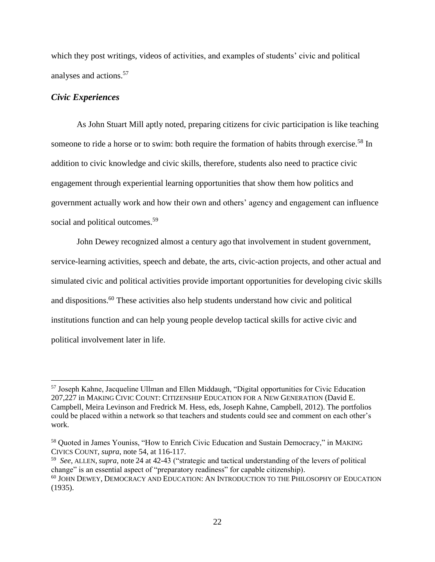which they post writings, videos of activities, and examples of students' civic and political analyses and actions.<sup>57</sup>

#### *Civic Experiences*

 $\overline{a}$ 

As John Stuart Mill aptly noted, preparing citizens for civic participation is like teaching someone to ride a horse or to swim: both require the formation of habits through exercise.<sup>58</sup> In addition to civic knowledge and civic skills, therefore, students also need to practice civic engagement through experiential learning opportunities that show them how politics and government actually work and how their own and others' agency and engagement can influence social and political outcomes.<sup>59</sup>

John Dewey recognized almost a century ago that involvement in student government, service-learning activities, speech and debate, the arts, civic-action projects, and other actual and simulated civic and political activities provide important opportunities for developing civic skills and dispositions.<sup>60</sup> These activities also help students understand how civic and political institutions function and can help young people develop tactical skills for active civic and political involvement later in life.

<sup>57</sup> Joseph Kahne, Jacqueline Ullman and Ellen Middaugh, "Digital opportunities for Civic Education 207,227 in MAKING CIVIC COUNT: CITIZENSHIP EDUCATION FOR A NEW GENERATION (David E. Campbell, Meira Levinson and Fredrick M. Hess, eds, Joseph Kahne, Campbell, 2012). The portfolios could be placed within a network so that teachers and students could see and comment on each other's work.

<sup>58</sup> Quoted in James Youniss, "How to Enrich Civic Education and Sustain Democracy," in MAKING CIVICS COUNT, *supra*, note 54, at 116-117.

<sup>59</sup> *See*, ALLEN, *supra,* note 24 at 42-43 ("strategic and tactical understanding of the levers of political change" is an essential aspect of "preparatory readiness" for capable citizenship). <sup>60</sup> JOHN DEWEY, DEMOCRACY AND EDUCATION: AN INTRODUCTION TO THE PHILOSOPHY OF EDUCATION (1935).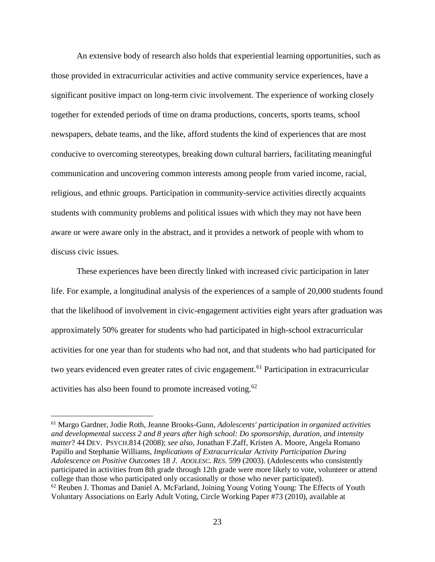An extensive body of research also holds that experiential learning opportunities, such as those provided in extracurricular activities and active community service experiences, have a significant positive impact on long-term civic involvement. The experience of working closely together for extended periods of time on drama productions, concerts, sports teams, school newspapers, debate teams, and the like, afford students the kind of experiences that are most conducive to overcoming stereotypes, breaking down cultural barriers, facilitating meaningful communication and uncovering common interests among people from varied income, racial, religious, and ethnic groups. Participation in community-service activities directly acquaints students with community problems and political issues with which they may not have been aware or were aware only in the abstract, and it provides a network of people with whom to discuss civic issues.

These experiences have been directly linked with increased civic participation in later life. For example, a longitudinal analysis of the experiences of a sample of 20,000 students found that the likelihood of involvement in civic-engagement activities eight years after graduation was approximately 50% greater for students who had participated in high-school extracurricular activities for one year than for students who had not, and that students who had participated for two years evidenced even greater rates of civic engagement.<sup>61</sup> Participation in extracurricular activities has also been found to promote increased voting.<sup>62</sup>

<sup>61</sup> Margo Gardner, Jodie Roth, Jeanne Brooks-Gunn, *Adolescents' participation in organized activities and developmental success 2 and 8 years after high school: Do sponsorship, duration, and intensity matter*? 44 DEV. PSYCH.814 (2008); *see also*, Jonathan F.Zaff, Kristen A. Moore, Angela Romano Papillo and Stephanie Williams, *Implications of Extracurricular Activity Participation During Adolescence on Positive Outcomes* 18 *J. ADOLESC. RES.* 599 (2003). (Adolescents who consistently participated in activities from 8th grade through 12th grade were more likely to vote, volunteer or attend college than those who participated only occasionally or those who never participated).  $62$  Reuben J. Thomas and Daniel A. McFarland, Joining Young Voting Young: The Effects of Youth Voluntary Associations on Early Adult Voting, Circle Working Paper #73 (2010), available at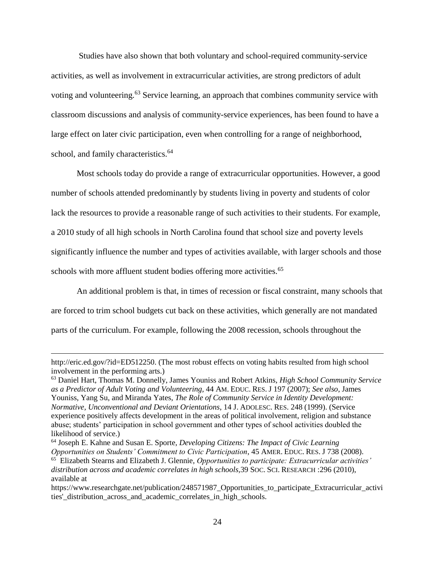Studies have also shown that both voluntary and school-required community-service activities, as well as involvement in extracurricular activities, are strong predictors of adult voting and volunteering.<sup>63</sup> Service learning, an approach that combines community service with classroom discussions and analysis of community-service experiences, has been found to have a large effect on later civic participation, even when controlling for a range of neighborhood, school, and family characteristics.<sup>64</sup>

Most schools today do provide a range of extracurricular opportunities. However, a good number of schools attended predominantly by students living in poverty and students of color lack the resources to provide a reasonable range of such activities to their students. For example, a 2010 study of all high schools in North Carolina found that school size and poverty levels significantly influence the number and types of activities available, with larger schools and those schools with more affluent student bodies offering more activities.<sup>65</sup>

An additional problem is that, in times of recession or fiscal constraint, many schools that are forced to trim school budgets cut back on these activities, which generally are not mandated parts of the curriculum. For example, following the 2008 recession, schools throughout the

[http://eric.ed.gov/?id=ED512250.](http://eric.ed.gov/?id=ED512250) (The most robust effects on voting habits resulted from high school involvement in the performing arts.)

<sup>63</sup> Daniel Hart, Thomas M. Donnelly, James Youniss and Robert Atkins, *High School Community Service as a Predictor of Adult Voting and Volunteering,* 44 AM. EDUC. RES. J 197 (2007); *See also*, James Youniss, Yang Su, and Miranda Yates, *The Role of Community Service in Identity Development: Normative, Unconventional and Deviant Orientations*, 14 J. ADOLESC. RES. 248 (1999). (Service experience positively affects development in the areas of political involvement, religion and substance abuse; students' participation in school government and other types of school activities doubled the likelihood of service.)

<sup>64</sup> Joseph E. Kahne and Susan E. Sporte, *Developing Citizens: The Impact of Civic Learning Opportunities on Students' Commitment to Civic Participation*, 45 AMER. EDUC. RES. J 738 (2008).

<sup>65</sup> [Elizabeth Stearns](https://www.researchgate.net/profile/Elizabeth_Stearns) and [Elizabeth J. Glennie,](https://www.researchgate.net/profile/Elizabeth_Glennie) *Opportunities to participate: Extracurricular activities' distribution across and academic correlates in high schools,*39 SOC. SCI. R[ESEARCH](https://www.researchgate.net/journal/0049-089X_Social_Science_Research) :296 (2010), available at

https://www.researchgate.net/publication/248571987\_Opportunities\_to\_participate\_Extracurricular\_activi ties' distribution across and academic correlates in high schools.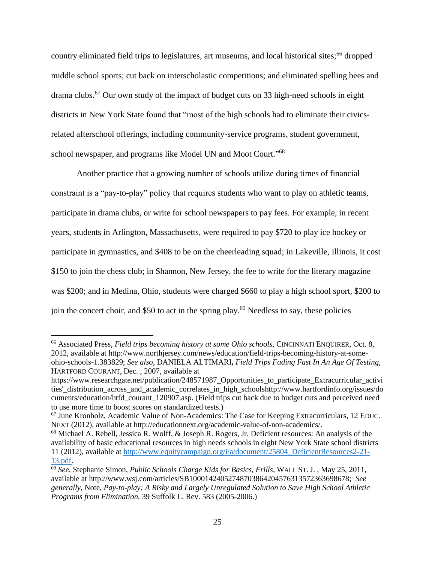country eliminated field trips to legislatures, art museums, and local historical sites;<sup>66</sup> dropped middle school sports; cut back on interscholastic competitions; and eliminated spelling bees and drama clubs.<sup>67</sup> Our own study of the impact of budget cuts on 33 high-need schools in eight districts in New York State found that "most of the high schools had to eliminate their civicsrelated afterschool offerings, including community-service programs, student government, school newspaper, and programs like Model UN and Moot Court."<sup>68</sup>

Another practice that a growing number of schools utilize during times of financial constraint is a "pay-to-play" policy that requires students who want to play on athletic teams, participate in drama clubs, or write for school newspapers to pay fees. For example, in recent years, students in Arlington, Massachusetts, were required to pay \$720 to play ice hockey or participate in gymnastics, and \$408 to be on the cheerleading squad; in Lakeville, Illinois, it cost \$150 to join the chess club; in Shannon, New Jersey, the fee to write for the literary magazine was \$200; and in Medina, Ohio, students were charged \$660 to play a high school sport, \$200 to join the concert choir, and \$50 to act in the spring play.<sup>69</sup> Needless to say, these policies

<sup>66</sup> Associated Press, *Field trips becoming history at some Ohio schools,* CINCINNATI ENQUIRER, Oct. 8, 2012, available at http://www.northjersey.com/news/education/field-trips-becoming-history-at-someohio-schools-1.383829; *See also*, DANIELA ALTIMARI**,** *Field Trips Fading Fast In An Age Of Testing*, HARTFORD COURANT, Dec. , 2007, available at

https://www.researchgate.net/publication/248571987 Opportunities to participate Extracurricular activi ties'\_distribution\_across\_and\_academic\_correlates\_in\_high\_school[shttp://www.hartfordinfo.org/issues/do](http://www.hartfordinfo.org/issues/documents/education/htfd_courant_120907.asp) [cuments/education/htfd\\_courant\\_120907.asp.](http://www.hartfordinfo.org/issues/documents/education/htfd_courant_120907.asp) (Field trips cut back due to budget cuts and perceived need to use more time to boost scores on standardized tests.)

 $67$  June Kronholz, Academic Value of Non-Academics: The Case for Keeping Extracurriculars, 12 EDUC. NEXT (2012), available at http://educationnext.org/academic-value-of-non-academics/.

<sup>68</sup> Michael A. Rebell, Jessica R. Wolff, & Joseph R. Rogers, Jr. Deficient resources: An analysis of the availability of basic educational resources in high needs schools in eight New York State school districts 11 (2012), available a[t http://www.equitycampaign.org/i/a/document/25804\\_DeficientResources2-21-](http://www.equitycampaign.org/i/a/document/25804_DeficientResources2-21-13.pdf) [13.pdf.](http://www.equitycampaign.org/i/a/document/25804_DeficientResources2-21-13.pdf)

<sup>69</sup> *See*, Stephanie Simon, *Public Schools Charge Kids for Basics, Frills*, WALL ST. J. , May 25, 2011, available at http://www.wsj.com/articles/SB10001424052748703864204576313572363698678; *See generally*, Note, *Pay-to-play: A Risky and Largely Unregulated Solution to Save High School Athletic Programs from Elimination,* 39 Suffolk L. Rev. 583 (2005-2006.)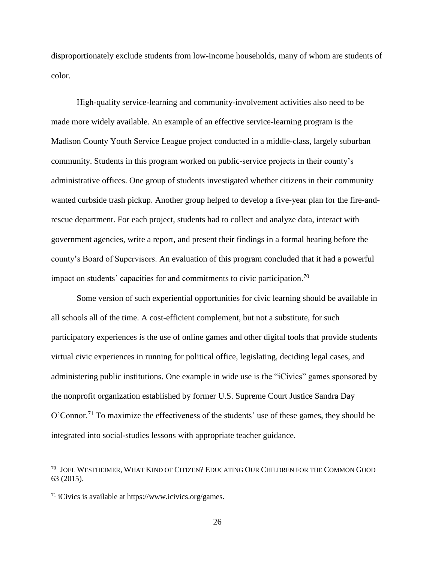disproportionately exclude students from low-income households, many of whom are students of color.

High-quality service-learning and community-involvement activities also need to be made more widely available. An example of an effective service-learning program is the Madison County Youth Service League project conducted in a middle-class, largely suburban community. Students in this program worked on public-service projects in their county's administrative offices. One group of students investigated whether citizens in their community wanted curbside trash pickup. Another group helped to develop a five-year plan for the fire-andrescue department. For each project, students had to collect and analyze data, interact with government agencies, write a report, and present their findings in a formal hearing before the county's Board of Supervisors. An evaluation of this program concluded that it had a powerful impact on students' capacities for and commitments to civic participation.<sup>70</sup>

Some version of such experiential opportunities for civic learning should be available in all schools all of the time. A cost-efficient complement, but not a substitute, for such participatory experiences is the use of online games and other digital tools that provide students virtual civic experiences in running for political office, legislating, deciding legal cases, and administering public institutions. One example in wide use is the "iCivics" games sponsored by the nonprofit organization established by former U.S. Supreme Court Justice Sandra Day O'Connor.<sup>71</sup> To maximize the effectiveness of the students' use of these games, they should be integrated into social-studies lessons with appropriate teacher guidance.

<sup>70</sup> JOEL WESTHEIMER, WHAT KIND OF CITIZEN? EDUCATING OUR CHILDREN FOR THE COMMON GOOD 63 (2015).

<sup>71</sup> iCivics is available at [https://www.icivics.org/games.](https://www.icivics.org/games)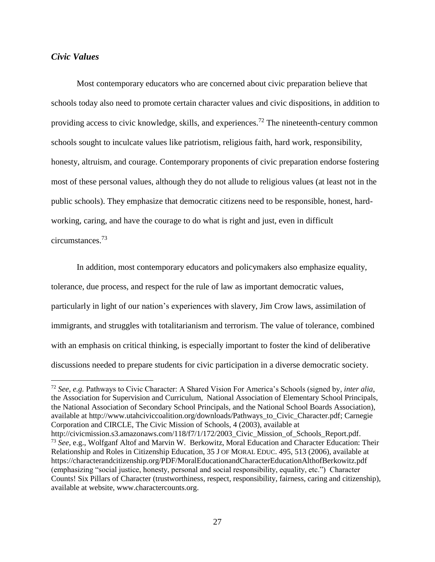#### *Civic Values*

 $\overline{a}$ 

Most contemporary educators who are concerned about civic preparation believe that schools today also need to promote certain character values and civic dispositions, in addition to providing access to civic knowledge, skills, and experiences.<sup>72</sup> The nineteenth-century common schools sought to inculcate values like patriotism, religious faith, hard work, responsibility, honesty, altruism, and courage. Contemporary proponents of civic preparation endorse fostering most of these personal values, although they do not allude to religious values (at least not in the public schools). They emphasize that democratic citizens need to be responsible, honest, hardworking, caring, and have the courage to do what is right and just, even in difficult circumstances.<sup>73</sup>

In addition, most contemporary educators and policymakers also emphasize equality, tolerance, due process, and respect for the rule of law as important democratic values, particularly in light of our nation's experiences with slavery, Jim Crow laws, assimilation of immigrants, and struggles with totalitarianism and terrorism. The value of tolerance, combined with an emphasis on critical thinking, is especially important to foster the kind of deliberative discussions needed to prepare students for civic participation in a diverse democratic society.

<sup>72</sup> *See, e.g.* Pathways to Civic Character: A Shared Vision For America's Schools (signed by*, inter alia*, the Association for Supervision and Curriculum, National Association of Elementary School Principals, the National Association of Secondary School Principals, and the National School Boards Association), available at [http://www.utahciviccoalition.org/downloads/Pathways\\_to\\_Civic\\_Character.pdf;](http://www.utahciviccoalition.org/downloads/Pathways_to_Civic_Character.pdf) Carnegie Corporation and CIRCLE, The Civic Mission of Schools, 4 (2003), available at

http://civicmission.s3.amazonaws.com/118/f7/1/172/2003 Civic Mission of Schools Report.pdf. <sup>73</sup> *See*, e.g., Wolfganf Altof and Marvin W. Berkowitz, Moral Education and Character Education: Their Relationship and Roles in Citizenship Education, 35 J OF MORAL EDUC. 495, 513 (2006), available at https://characterandcitizenship.org/PDF/MoralEducationandCharacterEducationAlthofBerkowitz.pdf (emphasizing "social justice, honesty, personal and social responsibility, equality, etc.") Character Counts! Six Pillars of Character (trustworthiness, respect, responsibility, fairness, caring and citizenship), available at website, [www.charactercounts.org.](http://www.charactercounts.org/)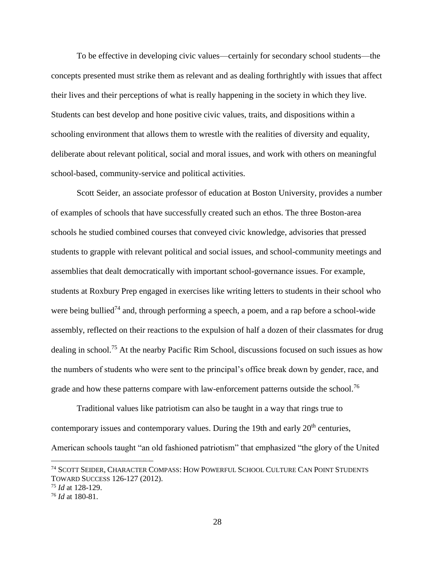To be effective in developing civic values—certainly for secondary school students—the concepts presented must strike them as relevant and as dealing forthrightly with issues that affect their lives and their perceptions of what is really happening in the society in which they live. Students can best develop and hone positive civic values, traits, and dispositions within a schooling environment that allows them to wrestle with the realities of diversity and equality, deliberate about relevant political, social and moral issues, and work with others on meaningful school-based, community-service and political activities.

Scott Seider, an associate professor of education at Boston University, provides a number of examples of schools that have successfully created such an ethos. The three Boston-area schools he studied combined courses that conveyed civic knowledge, advisories that pressed students to grapple with relevant political and social issues, and school-community meetings and assemblies that dealt democratically with important school-governance issues. For example, students at Roxbury Prep engaged in exercises like writing letters to students in their school who were being bullied<sup>74</sup> and, through performing a speech, a poem, and a rap before a school-wide assembly, reflected on their reactions to the expulsion of half a dozen of their classmates for drug dealing in school.<sup>75</sup> At the nearby Pacific Rim School, discussions focused on such issues as how the numbers of students who were sent to the principal's office break down by gender, race, and grade and how these patterns compare with law-enforcement patterns outside the school.<sup>76</sup>

Traditional values like patriotism can also be taught in a way that rings true to contemporary issues and contemporary values. During the 19th and early  $20<sup>th</sup>$  centuries, American schools taught "an old fashioned patriotism" that emphasized "the glory of the United

<sup>74</sup> SCOTT SEIDER, CHARACTER COMPASS: HOW POWERFUL SCHOOL CULTURE CAN POINT STUDENTS TOWARD SUCCESS 126-127 (2012).

<sup>75</sup> *Id* at 128-129.

<sup>76</sup> *Id* at 180-81.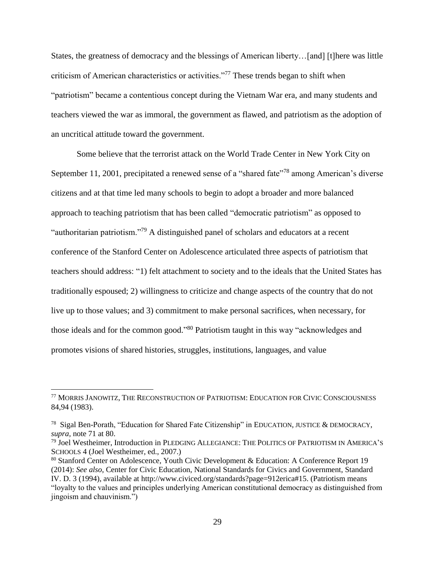States, the greatness of democracy and the blessings of American liberty…[and] [t]here was little criticism of American characteristics or activities."<sup>77</sup> These trends began to shift when "patriotism" became a contentious concept during the Vietnam War era, and many students and teachers viewed the war as immoral, the government as flawed, and patriotism as the adoption of an uncritical attitude toward the government.

Some believe that the terrorist attack on the World Trade Center in New York City on September 11, 2001, precipitated a renewed sense of a "shared fate"<sup>78</sup> among American's diverse citizens and at that time led many schools to begin to adopt a broader and more balanced approach to teaching patriotism that has been called "democratic patriotism" as opposed to "authoritarian patriotism."<sup>79</sup> A distinguished panel of scholars and educators at a recent conference of the Stanford Center on Adolescence articulated three aspects of patriotism that teachers should address: "1) felt attachment to society and to the ideals that the United States has traditionally espoused; 2) willingness to criticize and change aspects of the country that do not live up to those values; and 3) commitment to make personal sacrifices, when necessary, for those ideals and for the common good."<sup>80</sup> Patriotism taught in this way "acknowledges and promotes visions of shared histories, struggles, institutions, languages, and value

<sup>77</sup> MORRIS JANOWITZ, THE RECONSTRUCTION OF PATRIOTISM: EDUCATION FOR CIVIC CONSCIOUSNESS 84,94 (1983).

<sup>78</sup> Sigal Ben-Porath, "Education for Shared Fate Citizenship" in EDUCATION, JUSTICE & DEMOCRACY, *supra,* note 71 at 80.

<sup>79</sup> Joel Westheimer, Introduction in PLEDGING ALLEGIANCE: THE POLITICS OF PATRIOTISM IN AMERICA'S SCHOOLS 4 (Joel Westheimer, ed., 2007.)

<sup>80</sup> Stanford Center on Adolescence*,* Youth Civic Development & Education: A Conference Report 19 (2014): *See also*, Center for Civic Education, National Standards for Civics and Government, Standard IV. D. 3 (1994), available at [http://www.civiced.org/standards?page=912erica#15. \(Patriotism](http://www.civiced.org/standards?page=912erica#15  (patriotism-) means "loyalty to the values and principles underlying American constitutional democracy as distinguished from ingoism and chauvinism.")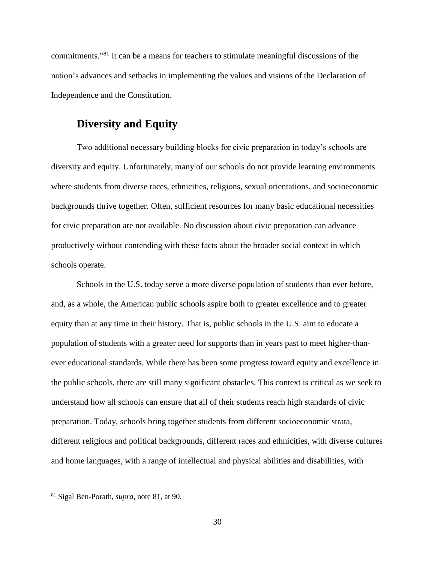commitments."<sup>81</sup> It can be a means for teachers to stimulate meaningful discussions of the nation's advances and setbacks in implementing the values and visions of the Declaration of Independence and the Constitution.

### **Diversity and Equity**

Two additional necessary building blocks for civic preparation in today's schools are diversity and equity. Unfortunately, many of our schools do not provide learning environments where students from diverse races, ethnicities, religions, sexual orientations, and socioeconomic backgrounds thrive together. Often, sufficient resources for many basic educational necessities for civic preparation are not available. No discussion about civic preparation can advance productively without contending with these facts about the broader social context in which schools operate.

Schools in the U.S. today serve a more diverse population of students than ever before, and, as a whole, the American public schools aspire both to greater excellence and to greater equity than at any time in their history. That is, public schools in the U.S. aim to educate a population of students with a greater need for supports than in years past to meet higher-thanever educational standards. While there has been some progress toward equity and excellence in the public schools, there are still many significant obstacles. This context is critical as we seek to understand how all schools can ensure that all of their students reach high standards of civic preparation. Today, schools bring together students from different socioeconomic strata, different religious and political backgrounds, different races and ethnicities, with diverse cultures and home languages, with a range of intellectual and physical abilities and disabilities, with

<sup>81</sup> Sigal Ben-Porath, *supra*, note 81, at 90.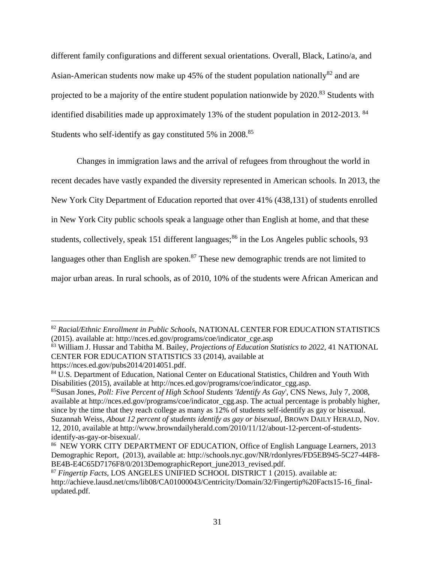different family configurations and different sexual orientations. Overall, Black, Latino/a, and Asian-American students now make up 45% of the student population nationally<sup>82</sup> and are projected to be a majority of the entire student population nationwide by 2020.<sup>83</sup> Students with identified disabilities made up approximately 13% of the student population in 2012-2013. <sup>84</sup> Students who self-identify as gay constituted 5% in 2008.<sup>85</sup>

Changes in immigration laws and the arrival of refugees from throughout the world in recent decades have vastly expanded the diversity represented in American schools. In 2013, the New York City Department of Education reported that over 41% (438,131) of students enrolled in New York City public schools speak a language other than English at home, and that these students, collectively, speak 151 different languages; $86$  in the Los Angeles public schools, 93 languages other than English are spoken.<sup>87</sup> These new demographic trends are not limited to major urban areas. In rural schools, as of 2010, 10% of the students were African American and

<sup>82</sup> *Racial/Ethnic Enrollment in Public Schools,* NATIONAL CENTER FOR EDUCATION STATISTICS (2015). available at: [http://nces.ed.gov/programs/coe/indicator\\_cge.asp](http://nces.ed.gov/programs/coe/indicator_cge.asp)

<sup>83</sup> William J. Hussar and Tabitha M. Bailey, *Projections of Education Statistics to 2022,* 41 NATIONAL CENTER FOR EDUCATION STATISTICS 33 (2014), available at

https://nces.ed.gov/pubs2014/2014051.pdf.

<sup>84</sup> U.S. Department of Education, National Center on Educational Statistics, Children and Youth With Disabilities (2015), available at [http://nces.ed.gov/programs/coe/indicator\\_cgg.asp.](http://nces.ed.gov/programs/coe/indicator_cgg.asp)

<sup>85</sup>Susan Jones, *Poll: Five Percent of High School Students 'Identify As Gay*', CNS News, July 7, 2008, available at [http://nces.ed.gov/programs/coe/indicator\\_cgg.asp.](http://nces.ed.gov/programs/coe/indicator_cgg.asp) The actual percentage is probably higher, since by the time that they reach college as many as 12% of students self-identify as gay or bisexual. Suzannah Weiss, *About 12 percent of students identify as gay or bisexual,* BROWN DAILY HERALD, Nov. 12, 2010, available at http://www.browndailyherald.com/2010/11/12/about-12-percent-of-studentsidentify-as-gay-or-bisexual/.

<sup>86</sup> NEW YORK CITY DEPARTMENT OF EDUCATION, Office of English Language Learners, 2013 Demographic Report, (2013), available at: [http://schools.nyc.gov/NR/rdonlyres/FD5EB945-5C27-44F8-](http://schools.nyc.gov/NR/rdonlyres/FD5EB945-5C27-44F8-BE4B-E4C65D7176F8/0/2013DemographicReport_june2013_revised.pdf) [BE4B-E4C65D7176F8/0/2013DemographicReport\\_june2013\\_revised.pdf.](http://schools.nyc.gov/NR/rdonlyres/FD5EB945-5C27-44F8-BE4B-E4C65D7176F8/0/2013DemographicReport_june2013_revised.pdf)

<sup>87</sup> *Fingertip Facts,* LOS ANGELES UNIFIED SCHOOL DISTRICT 1 (2015). available at: [http://achieve.lausd.net/cms/lib08/CA01000043/Centricity/Domain/32/Fingertip%20Facts15-16\\_final](http://achieve.lausd.net/cms/lib08/CA01000043/Centricity/Domain/32/Fingertip%20Facts15-16_final-updated.pdf)[updated.pdf.](http://achieve.lausd.net/cms/lib08/CA01000043/Centricity/Domain/32/Fingertip%20Facts15-16_final-updated.pdf)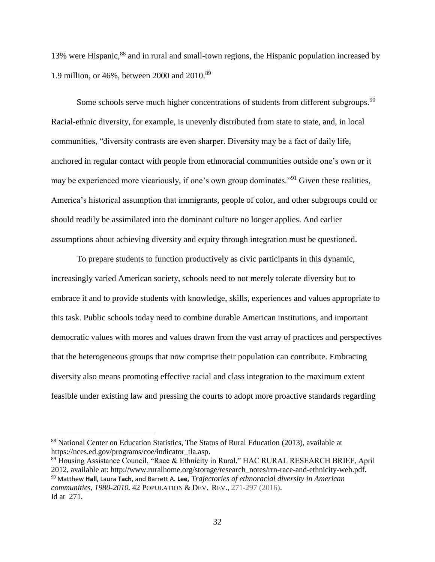13% were Hispanic,<sup>88</sup> and in rural and small-town regions, the Hispanic population increased by 1.9 million, or 46%, between 2000 and 2010.<sup>89</sup>

Some schools serve much higher concentrations of students from different subgroups.<sup>90</sup> Racial-ethnic diversity, for example, is unevenly distributed from state to state, and, in local communities, "diversity contrasts are even sharper. Diversity may be a fact of daily life, anchored in regular contact with people from ethnoracial communities outside one's own or it may be experienced more vicariously, if one's own group dominates."<sup>91</sup> Given these realities, America's historical assumption that immigrants, people of color, and other subgroups could or should readily be assimilated into the dominant culture no longer applies. And earlier assumptions about achieving diversity and equity through integration must be questioned.

To prepare students to function productively as civic participants in this dynamic, increasingly varied American society, schools need to not merely tolerate diversity but to embrace it and to provide students with knowledge, skills, experiences and values appropriate to this task. Public schools today need to combine durable American institutions, and important democratic values with mores and values drawn from the vast array of practices and perspectives that the heterogeneous groups that now comprise their population can contribute. Embracing diversity also means promoting effective racial and class integration to the maximum extent feasible under existing law and pressing the courts to adopt more proactive standards regarding

<sup>88</sup> National Center on Education Statistics, The Status of Rural Education (2013), available at [https://nces.ed.gov/programs/coe/indicator\\_tla.asp.](https://nces.ed.gov/programs/coe/indicator_tla.asp)

<sup>89</sup> Housing Assistance Council, "Race & Ethnicity in Rural," HAC RURAL RESEARCH BRIEF, April 2012, available at[: http://www.ruralhome.org/storage/research\\_notes/rrn-race-and-ethnicity-web.pdf.](http://www.ruralhome.org/storage/research_notes/rrn-race-and-ethnicity-web.pdf) <sup>90</sup> Matthew **Hall**, Laura **Tach**, and Barrett A. **Lee,** *Trajectories of ethnoracial diversity in American communities, 1980-2010.* 42 POPULATION & DEV. REV., 271-297 (2016). Id at 271.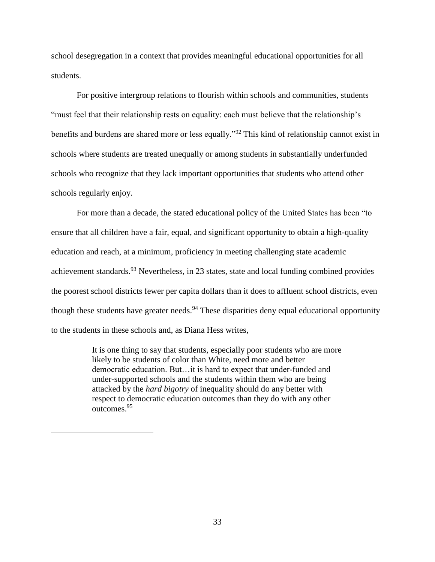school desegregation in a context that provides meaningful educational opportunities for all students.

For positive intergroup relations to flourish within schools and communities, students "must feel that their relationship rests on equality: each must believe that the relationship's benefits and burdens are shared more or less equally."<sup>92</sup> This kind of relationship cannot exist in schools where students are treated unequally or among students in substantially underfunded schools who recognize that they lack important opportunities that students who attend other schools regularly enjoy.

For more than a decade, the stated educational policy of the United States has been "to ensure that all children have a fair, equal, and significant opportunity to obtain a high-quality education and reach, at a minimum, proficiency in meeting challenging state academic achievement standards.  $93$  Nevertheless, in 23 states, state and local funding combined provides the poorest school districts fewer per capita dollars than it does to affluent school districts, even though these students have greater needs.<sup>94</sup> These disparities deny equal educational opportunity to the students in these schools and, as Diana Hess writes,

> It is one thing to say that students, especially poor students who are more likely to be students of color than White, need more and better democratic education. But…it is hard to expect that under-funded and under-supported schools and the students within them who are being attacked by the *hard bigotry* of inequality should do any better with respect to democratic education outcomes than they do with any other outcomes.<sup>95</sup>